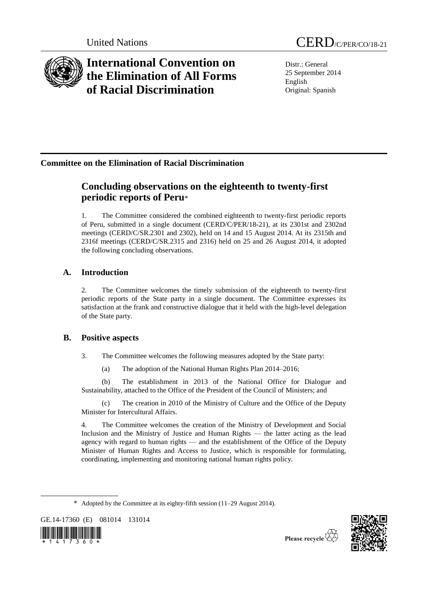

# **International Convention on the Elimination of All Forms of Racial Discrimination**

Distr.: General 25 September 2014 English Original: Spanish

## **Committee on the Elimination of Racial Discrimination**

## **Concluding observations on the eighteenth to twenty-first periodic reports of Peru**\*

1. The Committee considered the combined eighteenth to twenty-first periodic reports of Peru, submitted in a single document (CERD/C/PER/18-21), at its 2301st and 2302nd meetings (CERD/C/SR.2301 and 2302), held on 14 and 15 August 2014. At its 2315th and 2316f meetings (CERD/C/SR.2315 and 2316) held on 25 and 26 August 2014, it adopted the following concluding observations.

## **A. Introduction**

2. The Committee welcomes the timely submission of the eighteenth to twenty-first periodic reports of the State party in a single document. The Committee expresses its satisfaction at the frank and constructive dialogue that it held with the high-level delegation of the State party.

### **B. Positive aspects**

3. The Committee welcomes the following measures adopted by the State party:

(a) The adoption of the National Human Rights Plan 2014–2016;

(b) The establishment in 2013 of the National Office for Dialogue and Sustainability, attached to the Office of the President of the Council of Ministers; and

(c) The creation in 2010 of the Ministry of Culture and the Office of the Deputy Minister for Intercultural Affairs.

4. The Committee welcomes the creation of the Ministry of Development and Social Inclusion and the Ministry of Justice and Human Rights — the latter acting as the lead agency with regard to human rights — and the establishment of the Office of the Deputy Minister of Human Rights and Access to Justice, which is responsible for formulating, coordinating, implementing and monitoring national human rights policy.

GE.14-17360 (E) 081014 131014





<sup>\*</sup> Adopted by the Committee at its eighty-fifth session (11–29 August 2014).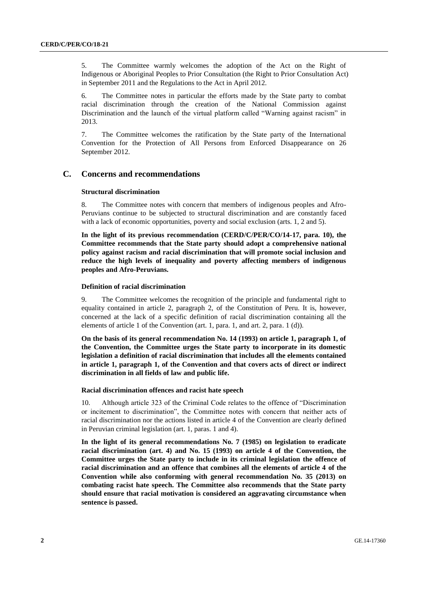5. The Committee warmly welcomes the adoption of the Act on the Right of Indigenous or Aboriginal Peoples to Prior Consultation (the Right to Prior Consultation Act) in September 2011 and the Regulations to the Act in April 2012.

6. The Committee notes in particular the efforts made by the State party to combat racial discrimination through the creation of the National Commission against Discrimination and the launch of the virtual platform called "Warning against racism" in 2013.

7. The Committee welcomes the ratification by the State party of the International Convention for the Protection of All Persons from Enforced Disappearance on 26 September 2012.

### **C. Concerns and recommendations**

#### **Structural discrimination**

8. The Committee notes with concern that members of indigenous peoples and Afro-Peruvians continue to be subjected to structural discrimination and are constantly faced with a lack of economic opportunities, poverty and social exclusion (arts. 1, 2 and 5).

**In the light of its previous recommendation (CERD/C/PER/CO/14-17, para. 10), the Committee recommends that the State party should adopt a comprehensive national policy against racism and racial discrimination that will promote social inclusion and reduce the high levels of inequality and poverty affecting members of indigenous peoples and Afro-Peruvians.**

#### **Definition of racial discrimination**

9. The Committee welcomes the recognition of the principle and fundamental right to equality contained in article 2, paragraph 2, of the Constitution of Peru. It is, however, concerned at the lack of a specific definition of racial discrimination containing all the elements of article 1 of the Convention (art. 1, para. 1, and art. 2, para. 1 (d)).

**On the basis of its general recommendation No. 14 (1993) on article 1, paragraph 1, of the Convention, the Committee urges the State party to incorporate in its domestic legislation a definition of racial discrimination that includes all the elements contained in article 1, paragraph 1, of the Convention and that covers acts of direct or indirect discrimination in all fields of law and public life.**

#### **Racial discrimination offences and racist hate speech**

10. Although article 323 of the Criminal Code relates to the offence of "Discrimination or incitement to discrimination", the Committee notes with concern that neither acts of racial discrimination nor the actions listed in article 4 of the Convention are clearly defined in Peruvian criminal legislation (art. 1, paras. 1 and 4).

**In the light of its general recommendations No. 7 (1985) on legislation to eradicate racial discrimination (art. 4) and No. 15 (1993) on article 4 of the Convention, the Committee urges the State party to include in its criminal legislation the offence of racial discrimination and an offence that combines all the elements of article 4 of the Convention while also conforming with general recommendation No. 35 (2013) on combating racist hate speech. The Committee also recommends that the State party should ensure that racial motivation is considered an aggravating circumstance when sentence is passed.**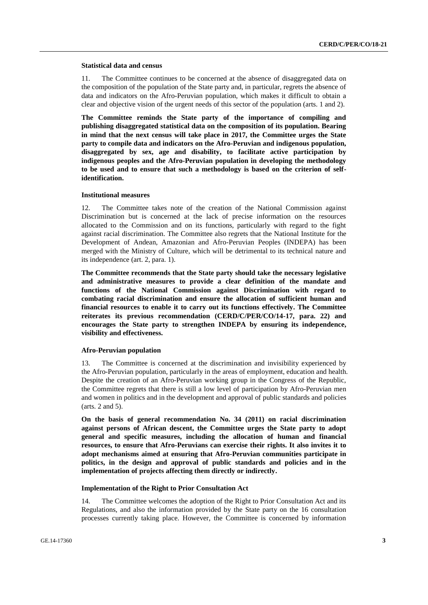#### **Statistical data and census**

11. The Committee continues to be concerned at the absence of disaggregated data on the composition of the population of the State party and, in particular, regrets the absence of data and indicators on the Afro-Peruvian population, which makes it difficult to obtain a clear and objective vision of the urgent needs of this sector of the population (arts. 1 and 2).

**The Committee reminds the State party of the importance of compiling and publishing disaggregated statistical data on the composition of its population. Bearing in mind that the next census will take place in 2017, the Committee urges the State party to compile data and indicators on the Afro-Peruvian and indigenous population, disaggregated by sex, age and disability, to facilitate active participation by indigenous peoples and the Afro-Peruvian population in developing the methodology to be used and to ensure that such a methodology is based on the criterion of selfidentification.** 

#### **Institutional measures**

12. The Committee takes note of the creation of the National Commission against Discrimination but is concerned at the lack of precise information on the resources allocated to the Commission and on its functions, particularly with regard to the fight against racial discrimination. The Committee also regrets that the National Institute for the Development of Andean, Amazonian and Afro-Peruvian Peoples (INDEPA) has been merged with the Ministry of Culture, which will be detrimental to its technical nature and its independence (art. 2, para. 1).

**The Committee recommends that the State party should take the necessary legislative and administrative measures to provide a clear definition of the mandate and functions of the National Commission against Discrimination with regard to combating racial discrimination and ensure the allocation of sufficient human and financial resources to enable it to carry out its functions effectively. The Committee reiterates its previous recommendation (CERD/C/PER/CO/14-17, para. 22) and encourages the State party to strengthen INDEPA by ensuring its independence, visibility and effectiveness.**

#### **Afro-Peruvian population**

13. The Committee is concerned at the discrimination and invisibility experienced by the Afro-Peruvian population, particularly in the areas of employment, education and health. Despite the creation of an Afro-Peruvian working group in the Congress of the Republic, the Committee regrets that there is still a low level of participation by Afro-Peruvian men and women in politics and in the development and approval of public standards and policies (arts. 2 and 5).

**On the basis of general recommendation No. 34 (2011) on racial discrimination against persons of African descent, the Committee urges the State party to adopt general and specific measures, including the allocation of human and financial resources, to ensure that Afro-Peruvians can exercise their rights. It also invites it to adopt mechanisms aimed at ensuring that Afro-Peruvian communities participate in politics, in the design and approval of public standards and policies and in the implementation of projects affecting them directly or indirectly.**

#### **Implementation of the Right to Prior Consultation Act**

14. The Committee welcomes the adoption of the Right to Prior Consultation Act and its Regulations, and also the information provided by the State party on the 16 consultation processes currently taking place. However, the Committee is concerned by information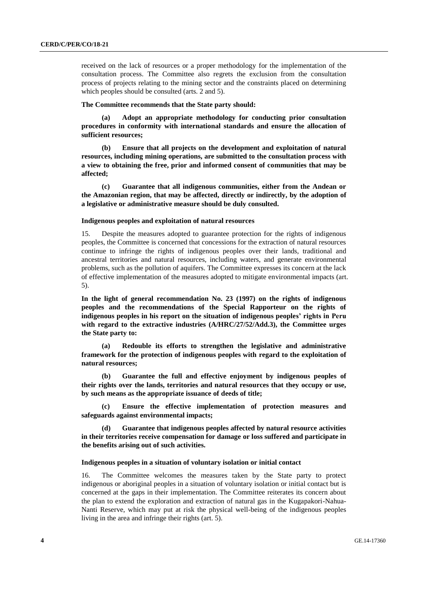received on the lack of resources or a proper methodology for the implementation of the consultation process. The Committee also regrets the exclusion from the consultation process of projects relating to the mining sector and the constraints placed on determining which peoples should be consulted (arts. 2 and 5).

#### **The Committee recommends that the State party should:**

**(a) Adopt an appropriate methodology for conducting prior consultation procedures in conformity with international standards and ensure the allocation of sufficient resources;**

**(b) Ensure that all projects on the development and exploitation of natural resources, including mining operations, are submitted to the consultation process with a view to obtaining the free, prior and informed consent of communities that may be affected;**

**(c) Guarantee that all indigenous communities, either from the Andean or the Amazonian region, that may be affected, directly or indirectly, by the adoption of a legislative or administrative measure should be duly consulted.**

#### **Indigenous peoples and exploitation of natural resources**

15. Despite the measures adopted to guarantee protection for the rights of indigenous peoples, the Committee is concerned that concessions for the extraction of natural resources continue to infringe the rights of indigenous peoples over their lands, traditional and ancestral territories and natural resources, including waters, and generate environmental problems, such as the pollution of aquifers. The Committee expresses its concern at the lack of effective implementation of the measures adopted to mitigate environmental impacts (art. 5).

**In the light of general recommendation No. 23 (1997) on the rights of indigenous peoples and the recommendations of the Special Rapporteur on the rights of indigenous peoples in his report on the situation of indigenous peoples' rights in Peru with regard to the extractive industries (A/HRC/27/52/Add.3), the Committee urges the State party to:**

**(a) Redouble its efforts to strengthen the legislative and administrative framework for the protection of indigenous peoples with regard to the exploitation of natural resources;**

**(b) Guarantee the full and effective enjoyment by indigenous peoples of their rights over the lands, territories and natural resources that they occupy or use, by such means as the appropriate issuance of deeds of title;**

**(c) Ensure the effective implementation of protection measures and safeguards against environmental impacts;**

**(d) Guarantee that indigenous peoples affected by natural resource activities in their territories receive compensation for damage or loss suffered and participate in the benefits arising out of such activities.**

#### **Indigenous peoples in a situation of voluntary isolation or initial contact**

16. The Committee welcomes the measures taken by the State party to protect indigenous or aboriginal peoples in a situation of voluntary isolation or initial contact but is concerned at the gaps in their implementation. The Committee reiterates its concern about the plan to extend the exploration and extraction of natural gas in the Kugapakori-Nahua-Nanti Reserve, which may put at risk the physical well-being of the indigenous peoples living in the area and infringe their rights (art. 5).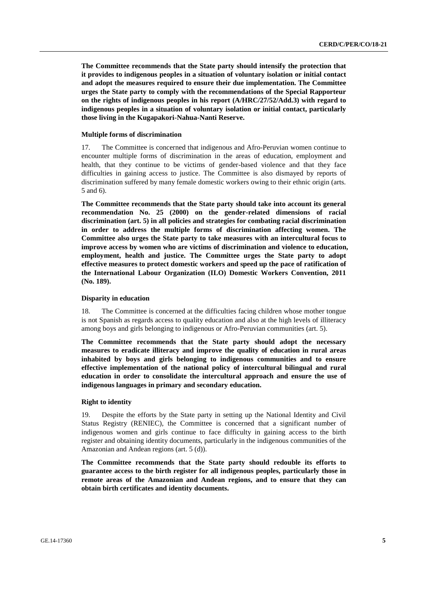**The Committee recommends that the State party should intensify the protection that it provides to indigenous peoples in a situation of voluntary isolation or initial contact and adopt the measures required to ensure their due implementation. The Committee urges the State party to comply with the recommendations of the Special Rapporteur on the rights of indigenous peoples in his report (A/HRC/27/52/Add.3) with regard to indigenous peoples in a situation of voluntary isolation or initial contact, particularly those living in the Kugapakori-Nahua-Nanti Reserve.**

#### **Multiple forms of discrimination**

17. The Committee is concerned that indigenous and Afro-Peruvian women continue to encounter multiple forms of discrimination in the areas of education, employment and health, that they continue to be victims of gender-based violence and that they face difficulties in gaining access to justice. The Committee is also dismayed by reports of discrimination suffered by many female domestic workers owing to their ethnic origin (arts. 5 and 6).

**The Committee recommends that the State party should take into account its general recommendation No. 25 (2000) on the gender-related dimensions of racial discrimination (art. 5) in all policies and strategies for combating racial discrimination in order to address the multiple forms of discrimination affecting women. The Committee also urges the State party to take measures with an intercultural focus to improve access by women who are victims of discrimination and violence to education, employment, health and justice. The Committee urges the State party to adopt effective measures to protect domestic workers and speed up the pace of ratification of the International Labour Organization (ILO) Domestic Workers Convention, 2011 (No. 189).**

#### **Disparity in education**

18. The Committee is concerned at the difficulties facing children whose mother tongue is not Spanish as regards access to quality education and also at the high levels of illiteracy among boys and girls belonging to indigenous or Afro-Peruvian communities (art. 5).

**The Committee recommends that the State party should adopt the necessary measures to eradicate illiteracy and improve the quality of education in rural areas inhabited by boys and girls belonging to indigenous communities and to ensure effective implementation of the national policy of intercultural bilingual and rural education in order to consolidate the intercultural approach and ensure the use of indigenous languages in primary and secondary education.**

#### **Right to identity**

19. Despite the efforts by the State party in setting up the National Identity and Civil Status Registry (RENIEC), the Committee is concerned that a significant number of indigenous women and girls continue to face difficulty in gaining access to the birth register and obtaining identity documents, particularly in the indigenous communities of the Amazonian and Andean regions (art. 5 (d)).

**The Committee recommends that the State party should redouble its efforts to guarantee access to the birth register for all indigenous peoples, particularly those in remote areas of the Amazonian and Andean regions, and to ensure that they can obtain birth certificates and identity documents.**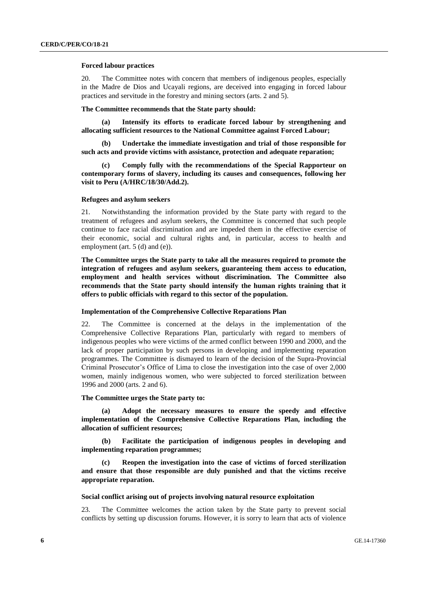#### **Forced labour practices**

20. The Committee notes with concern that members of indigenous peoples, especially in the Madre de Dios and Ucayali regions, are deceived into engaging in forced labour practices and servitude in the forestry and mining sectors (arts. 2 and 5).

**The Committee recommends that the State party should:**

**(a) Intensify its efforts to eradicate forced labour by strengthening and allocating sufficient resources to the National Committee against Forced Labour;**

**(b) Undertake the immediate investigation and trial of those responsible for such acts and provide victims with assistance, protection and adequate reparation;**

**(c) Comply fully with the recommendations of the Special Rapporteur on contemporary forms of slavery, including its causes and consequences, following her visit to Peru (A/HRC/18/30/Add.2).**

#### **Refugees and asylum seekers**

21. Notwithstanding the information provided by the State party with regard to the treatment of refugees and asylum seekers, the Committee is concerned that such people continue to face racial discrimination and are impeded them in the effective exercise of their economic, social and cultural rights and, in particular, access to health and employment (art. 5 (d) and (e)).

**The Committee urges the State party to take all the measures required to promote the integration of refugees and asylum seekers, guaranteeing them access to education, employment and health services without discrimination. The Committee also recommends that the State party should intensify the human rights training that it offers to public officials with regard to this sector of the population.**

#### **Implementation of the Comprehensive Collective Reparations Plan**

22. The Committee is concerned at the delays in the implementation of the Comprehensive Collective Reparations Plan, particularly with regard to members of indigenous peoples who were victims of the armed conflict between 1990 and 2000, and the lack of proper participation by such persons in developing and implementing reparation programmes. The Committee is dismayed to learn of the decision of the Supra-Provincial Criminal Prosecutor's Office of Lima to close the investigation into the case of over 2,000 women, mainly indigenous women, who were subjected to forced sterilization between 1996 and 2000 (arts. 2 and 6).

#### **The Committee urges the State party to:**

**(a) Adopt the necessary measures to ensure the speedy and effective implementation of the Comprehensive Collective Reparations Plan, including the allocation of sufficient resources;**

**(b) Facilitate the participation of indigenous peoples in developing and implementing reparation programmes;**

**(c) Reopen the investigation into the case of victims of forced sterilization and ensure that those responsible are duly punished and that the victims receive appropriate reparation.**

#### **Social conflict arising out of projects involving natural resource exploitation**

23. The Committee welcomes the action taken by the State party to prevent social conflicts by setting up discussion forums. However, it is sorry to learn that acts of violence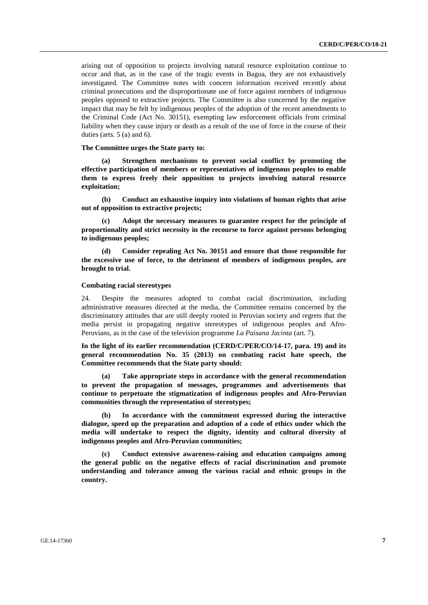arising out of opposition to projects involving natural resource exploitation continue to occur and that, as in the case of the tragic events in Bagua, they are not exhaustively investigated. The Committee notes with concern information received recently about criminal prosecutions and the disproportionate use of force against members of indigenous peoples opposed to extractive projects. The Committee is also concerned by the negative impact that may be felt by indigenous peoples of the adoption of the recent amendments to the Criminal Code (Act No. 30151), exempting law enforcement officials from criminal liability when they cause injury or death as a result of the use of force in the course of their duties (arts. 5 (a) and 6).

#### **The Committee urges the State party to:**

**(a) Strengthen mechanisms to prevent social conflict by promoting the effective participation of members or representatives of indigenous peoples to enable them to express freely their opposition to projects involving natural resource exploitation;**

**(b) Conduct an exhaustive inquiry into violations of human rights that arise out of opposition to extractive projects;**

**(c) Adopt the necessary measures to guarantee respect for the principle of proportionality and strict necessity in the recourse to force against persons belonging to indigenous peoples;**

**(d) Consider repealing Act No. 30151 and ensure that those responsible for the excessive use of force, to the detriment of members of indigenous peoples, are brought to trial.**

#### **Combating racial stereotypes**

24. Despite the measures adopted to combat racial discrimination, including administrative measures directed at the media, the Committee remains concerned by the discriminatory attitudes that are still deeply rooted in Peruvian society and regrets that the media persist in propagating negative stereotypes of indigenous peoples and Afro-Peruvians, as in the case of the television programme *La Paisana Jacinta* (art. 7).

**In the light of its earlier recommendation (CERD/C/PER/CO/14-17, para. 19) and its general recommendation No. 35 (2013) on combating racist hate speech, the Committee recommends that the State party should:**

**(a) Take appropriate steps in accordance with the general recommendation to prevent the propagation of messages, programmes and advertisements that continue to perpetuate the stigmatization of indigenous peoples and Afro-Peruvian communities through the representation of stereotypes;**

**(b) In accordance with the commitment expressed during the interactive dialogue, speed up the preparation and adoption of a code of ethics under which the media will undertake to respect the dignity, identity and cultural diversity of indigenous peoples and Afro-Peruvian communities;**

**(c) Conduct extensive awareness-raising and education campaigns among the general public on the negative effects of racial discrimination and promote understanding and tolerance among the various racial and ethnic groups in the country.**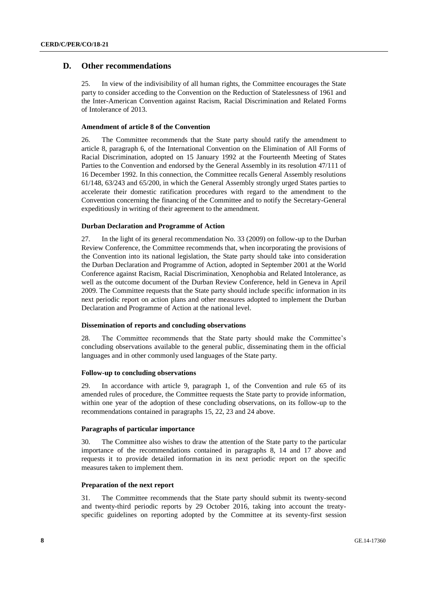### **D. Other recommendations**

25. In view of the indivisibility of all human rights, the Committee encourages the State party to consider acceding to the Convention on the Reduction of Statelessness of 1961 and the Inter-American Convention against Racism, Racial Discrimination and Related Forms of Intolerance of 2013.

#### **Amendment of article 8 of the Convention**

26. The Committee recommends that the State party should ratify the amendment to article 8, paragraph 6, of the International Convention on the Elimination of All Forms of Racial Discrimination, adopted on 15 January 1992 at the Fourteenth Meeting of States Parties to the Convention and endorsed by the General Assembly in its resolution 47/111 of 16 December 1992. In this connection, the Committee recalls General Assembly resolutions 61/148, 63/243 and 65/200, in which the General Assembly strongly urged States parties to accelerate their domestic ratification procedures with regard to the amendment to the Convention concerning the financing of the Committee and to notify the Secretary-General expeditiously in writing of their agreement to the amendment.

#### **Durban Declaration and Programme of Action**

27. In the light of its general recommendation No. 33 (2009) on follow-up to the Durban Review Conference, the Committee recommends that, when incorporating the provisions of the Convention into its national legislation, the State party should take into consideration the Durban Declaration and Programme of Action, adopted in September 2001 at the World Conference against Racism, Racial Discrimination, Xenophobia and Related Intolerance, as well as the outcome document of the Durban Review Conference, held in Geneva in April 2009. The Committee requests that the State party should include specific information in its next periodic report on action plans and other measures adopted to implement the Durban Declaration and Programme of Action at the national level.

#### **Dissemination of reports and concluding observations**

28. The Committee recommends that the State party should make the Committee's concluding observations available to the general public, disseminating them in the official languages and in other commonly used languages of the State party.

#### **Follow-up to concluding observations**

29. In accordance with article 9, paragraph 1, of the Convention and rule 65 of its amended rules of procedure, the Committee requests the State party to provide information, within one year of the adoption of these concluding observations, on its follow-up to the recommendations contained in paragraphs 15, 22, 23 and 24 above.

#### **Paragraphs of particular importance**

30. The Committee also wishes to draw the attention of the State party to the particular importance of the recommendations contained in paragraphs 8, 14 and 17 above and requests it to provide detailed information in its next periodic report on the specific measures taken to implement them.

#### **Preparation of the next report**

31. The Committee recommends that the State party should submit its twenty-second and twenty-third periodic reports by 29 October 2016, taking into account the treatyspecific guidelines on reporting adopted by the Committee at its seventy-first session